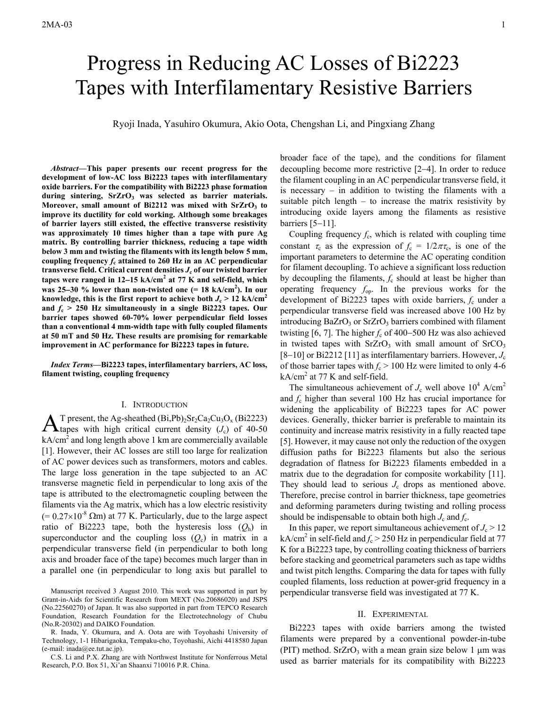# Progress in Reducing AC Losses of Bi2223 Tapes with Interfilamentary Resistive Barriers

Ryoji Inada, Yasuhiro Okumura, Akio Oota, Chengshan Li, and Pingxiang Zhang

*Abstract***—This paper presents our recent progress for the development of low-AC loss Bi2223 tapes with interfilamentary oxide barriers. For the compatibility with Bi2223 phase formation**  during sintering, SrZrO<sub>3</sub> was selected as barrier materials. Moreover, small amount of Bi2212 was mixed with SrZrO<sub>3</sub> to **improve its ductility for cold working. Although some breakages of barrier layers still existed, the effective transverse resistivity was approximately 10 times higher than a tape with pure Ag matrix. By controlling barrier thickness, reducing a tape width below 3 mm and twisting the filaments with its length below 5 mm,**  coupling frequency  $f_c$  attained to 260 Hz in an AC perpendicular **transverse field. Critical current densities**  $J_c$  **of our twisted barrier tapes were ranged in 12**−**15 kA/cm<sup>2</sup> at 77 K and self-field, which was 25**−**30 % lower than non-twisted one (= 18 kA/cm<sup>2</sup> ). In our**  knowledge, this is the first report to achieve both  $J_c$  > 12 kA/cm<sup>2</sup> and  $f_c > 250$  Hz simultaneously in a single Bi2223 tapes. Our **barrier tapes showed 60-70% lower perpendicular field losses than a conventional 4 mm-width tape with fully coupled filaments at 50 mT and 50 Hz. These results are promising for remarkable improvement in AC performance for Bi2223 tapes in future.** 

*Index Terms***—Bi2223 tapes, interfilamentary barriers, AC loss, filament twisting, coupling frequency** 

## I. INTRODUCTION

T present, the Ag-sheathed  $(Bi, Pb)<sub>2</sub>Sr<sub>2</sub>Ca<sub>2</sub>Cu<sub>3</sub>O<sub>x</sub>$  (Bi2223)  $A$ <sup>T</sup> present, the Ag-sheathed (Bi,Pb)<sub>2</sub>Sr<sub>2</sub>Ca<sub>2</sub>Cu<sub>3</sub>O<sub>x</sub> (Bi2223) Atapes with high critical current density (*J<sub>c</sub>*) of 40-50  $kA/cm<sup>2</sup>$  and long length above 1 km are commercially available [1]. However, their AC losses are still too large for realization of AC power devices such as transformers, motors and cables. The large loss generation in the tape subjected to an AC transverse magnetic field in perpendicular to long axis of the tape is attributed to the electromagnetic coupling between the filaments via the Ag matrix, which has a low electric resistivity  $(= 0.27 \times 10^{-8} \Omega m)$  at 77 K. Particularly, due to the large aspect ratio of Bi2223 tape, both the hysteresis loss  $(Q_h)$  in superconductor and the coupling loss  $(Q_c)$  in matrix in a perpendicular transverse field (in perpendicular to both long axis and broader face of the tape) becomes much larger than in a parallel one (in perpendicular to long axis but parallel to

R. Inada, Y. Okumura, and A. Oota are with Toyohashi University of Technology, 1-1 Hibarigaoka, Tempaku-cho, Toyohashi, Aichi 4418580 Japan (e-mail: inada@ee.tut.ac.jp).

C.S. Li and P.X. Zhang are with Northwest Institute for Nonferrous Metal Research, P.O. Box 51, Xi'an Shaanxi 710016 P.R. China.

broader face of the tape), and the conditions for filament decoupling become more restrictive [2−4]. In order to reduce the filament coupling in an AC perpendicular transverse field, it is necessary – in addition to twisting the filaments with a suitable pitch length – to increase the matrix resistivity by introducing oxide layers among the filaments as resistive barriers [5−11].

Coupling frequency  $f_c$ , which is related with coupling time constant  $\tau_c$  as the expression of  $f_c = 1/2\pi\tau_c$ , is one of the important parameters to determine the AC operating condition for filament decoupling. To achieve a significant loss reduction by decoupling the filaments, *f*c should at least be higher than operating frequency *f*op. In the previous works for the development of Bi2223 tapes with oxide barriers, *f*c under a perpendicular transverse field was increased above 100 Hz by introducing  $BaZrO<sub>3</sub>$  or  $SrZrO<sub>3</sub>$  barriers combined with filament twisting [6, 7]. The higher *f*c of 400−500 Hz was also achieved in twisted tapes with  $SrZrO<sub>3</sub>$  with small amount of  $SrCO<sub>3</sub>$ [8−10] or Bi2212 [11] as interfilamentary barriers. However, *J*<sup>c</sup> of those barrier tapes with  $f_c > 100$  Hz were limited to only 4-6  $kA/cm<sup>2</sup>$  at 77 K and self-field.

The simultaneous achievement of  $J_c$  well above  $10^4$  A/cm<sup>2</sup> and *f*c higher than several 100 Hz has crucial importance for widening the applicability of Bi2223 tapes for AC power devices. Generally, thicker barrier is preferable to maintain its continuity and increase matrix resistivity in a fully reacted tape [5]. However, it may cause not only the reduction of the oxygen diffusion paths for Bi2223 filaments but also the serious degradation of flatness for Bi2223 filaments embedded in a matrix due to the degradation for composite workability [11]. They should lead to serious  $J_c$  drops as mentioned above. Therefore, precise control in barrier thickness, tape geometries and deforming parameters during twisting and rolling process should be indispensable to obtain both high  $J_c$  and  $f_c$ .

In this paper, we report simultaneous achievement of  $J_c > 12$ kA/cm<sup>2</sup> in self-field and  $f_c > 250$  Hz in perpendicular field at 77 K for a Bi2223 tape, by controlling coating thickness of barriers before stacking and geometrical parameters such as tape widths and twist pitch lengths. Comparing the data for tapes with fully coupled filaments, loss reduction at power-grid frequency in a perpendicular transverse field was investigated at 77 K.

### II. EXPERIMENTAL

Bi2223 tapes with oxide barriers among the twisted filaments were prepared by a conventional powder-in-tube (PIT) method. SrZrO<sub>3</sub> with a mean grain size below 1  $\mu$ m was used as barrier materials for its compatibility with Bi2223

Manuscript received 3 August 2010. This work was supported in part by Grant-in-Aids for Scientific Research from MEXT (No.20686020) and JSPS (No.22560270) of Japan. It was also supported in part from TEPCO Research Foundation, Research Foundation for the Electrotechnology of Chubu (No.R-20302) and DAIKO Foundation.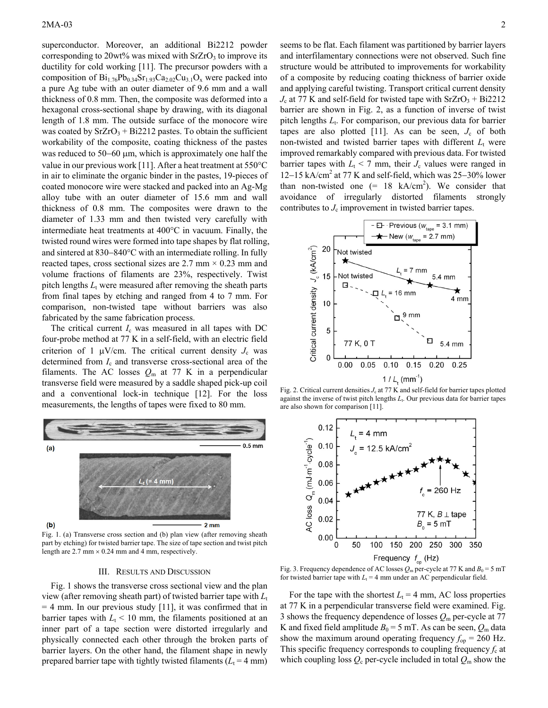superconductor. Moreover, an additional Bi2212 powder corresponding to  $20wt\%$  was mixed with SrZrO<sub>3</sub> to improve its ductility for cold working [11]. The precursor powders with a composition of  $Bi<sub>1.76</sub>Pb<sub>0.34</sub>Sr<sub>1.93</sub>Ca<sub>2.02</sub>Cu<sub>3.1</sub>O<sub>x</sub>$  were packed into a pure Ag tube with an outer diameter of 9.6 mm and a wall thickness of 0.8 mm. Then, the composite was deformed into a hexagonal cross-sectional shape by drawing, with its diagonal length of 1.8 mm. The outside surface of the monocore wire was coated by  $SrZrO<sub>3</sub> + Bi2212$  pastes. To obtain the sufficient workability of the composite, coating thickness of the pastes was reduced to 50−60 μm, which is approximately one half the value in our previous work [11]. After a heat treatment at 550°C in air to eliminate the organic binder in the pastes, 19-pieces of coated monocore wire were stacked and packed into an Ag-Mg alloy tube with an outer diameter of 15.6 mm and wall thickness of 0.8 mm. The composites were drawn to the diameter of 1.33 mm and then twisted very carefully with intermediate heat treatments at 400°C in vacuum. Finally, the twisted round wires were formed into tape shapes by flat rolling, and sintered at 830−840°C with an intermediate rolling. In fully reacted tapes, cross sectional sizes are 2.7 mm  $\times$  0.23 mm and volume fractions of filaments are 23%, respectively. Twist pitch lengths  $L_t$  were measured after removing the sheath parts from final tapes by etching and ranged from 4 to 7 mm. For comparison, non-twisted tape without barriers was also fabricated by the same fabrication process.

The critical current  $I_c$  was measured in all tapes with DC four-probe method at 77 K in a self-field, with an electric field criterion of 1  $\mu$ V/cm. The critical current density  $J_c$  was determined from *I*<sup>c</sup> and transverse cross-sectional area of the filaments. The AC losses  $Q_m$  at 77 K in a perpendicular transverse field were measured by a saddle shaped pick-up coil and a conventional lock-in technique [12]. For the loss measurements, the lengths of tapes were fixed to 80 mm.



Fig. 1. (a) Transverse cross section and (b) plan view (after removing sheath part by etching) for twisted barrier tape. The size of tape section and twist pitch length are  $2.7$  mm  $\times$  0.24 mm and 4 mm, respectively.

### III. RESULTS AND DISCUSSION

Fig. 1 shows the transverse cross sectional view and the plan view (after removing sheath part) of twisted barrier tape with  $L_t$  $=$  4 mm. In our previous study  $[11]$ , it was confirmed that in barrier tapes with  $L_t$  < 10 mm, the filaments positioned at an inner part of a tape section were distorted irregularly and physically connected each other through the broken parts of barrier layers. On the other hand, the filament shape in newly prepared barrier tape with tightly twisted filaments  $(L_t = 4 \text{ mm})$ 

seems to be flat. Each filament was partitioned by barrier layers and interfilamentary connections were not observed. Such fine structure would be attributed to improvements for workability of a composite by reducing coating thickness of barrier oxide and applying careful twisting. Transport critical current density  $J_c$  at 77 K and self-field for twisted tape with  $SrZrO<sub>3</sub> + Bi2212$ barrier are shown in Fig. 2, as a function of inverse of twist pitch lengths  $L_t$ . For comparison, our previous data for barrier tapes are also plotted [11]. As can be seen,  $J_c$  of both non-twisted and twisted barrier tapes with different  $L<sub>t</sub>$  were improved remarkably compared with previous data. For twisted barrier tapes with  $L_t$  < 7 mm, their  $J_c$  values were ranged in 12−15 kA/cm2 at 77 K and self-field, which was 25−30% lower than non-twisted one  $(= 18 \text{ kA/cm}^2)$ . We consider that avoidance of irregularly distorted filaments strongly contributes to  $J_c$  improvement in twisted barrier tapes.



Fig. 2. Critical current densities  $J_c$  at 77 K and self-field for barrier tapes plotted against the inverse of twist pitch lengths *L*t. Our previous data for barrier tapes are also shown for comparison [11].



Fig. 3. Frequency dependence of AC losses  $Q_m$  per-cycle at 77 K and  $B_0 = 5$  mT for twisted barrier tape with  $L_t = 4$  mm under an AC perpendicular field.

For the tape with the shortest  $L_t = 4$  mm, AC loss properties at 77 K in a perpendicular transverse field were examined. Fig. 3 shows the frequency dependence of losses *Q*m per-cycle at 77 K and fixed field amplitude  $B_0 = 5$  mT. As can be seen,  $Q_m$  data show the maximum around operating frequency  $f_{op} = 260$  Hz. This specific frequency corresponds to coupling frequency  $f_c$  at which coupling loss  $Q_c$  per-cycle included in total  $Q_m$  show the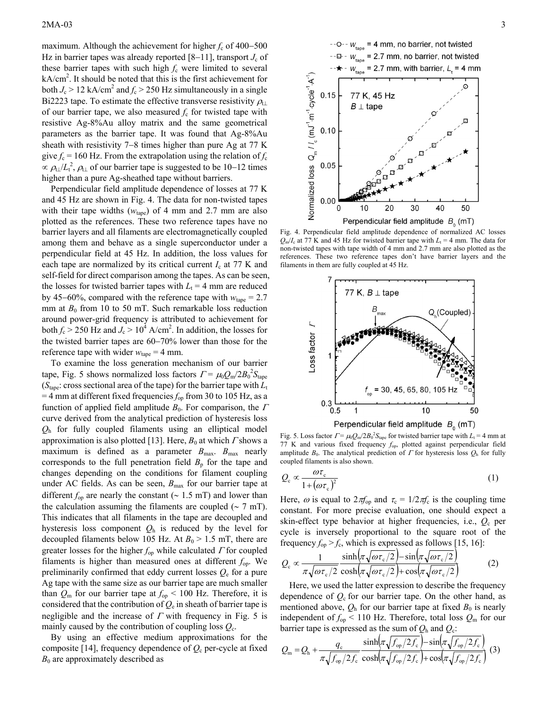maximum. Although the achievement for higher *f*c of 400−500 Hz in barrier tapes was already reported [8–11], transport *J*<sub>c</sub> of these barrier tapes with such high  $f_c$  were limited to several kA/cm<sup>2</sup>. It should be noted that this is the first achievement for both  $J_c > 12$  kA/cm<sup>2</sup> and  $f_c > 250$  Hz simultaneously in a single Bi2223 tape. To estimate the effective transverse resistivity  $\rho_{\text{t}}$ of our barrier tape, we also measured  $f_c$  for twisted tape with resistive Ag-8%Au alloy matrix and the same geometrical parameters as the barrier tape. It was found that Ag-8%Au sheath with resistivity 7−8 times higher than pure Ag at 77 K give  $f_c = 160$  Hz. From the extrapolation using the relation of  $f_c$  $\propto \rho_{\rm t} / L_{\rm t}^2$ ,  $\rho_{\rm t}$  of our barrier tape is suggested to be 10−12 times higher than a pure Ag-sheathed tape without barriers.

Perpendicular field amplitude dependence of losses at 77 K and 45 Hz are shown in Fig. 4. The data for non-twisted tapes with their tape widths  $(w<sub>tape</sub>)$  of 4 mm and 2.7 mm are also plotted as the references. These two reference tapes have no barrier layers and all filaments are electromagnetically coupled among them and behave as a single superconductor under a perpendicular field at 45 Hz. In addition, the loss values for each tape are normalized by its critical current  $I_c$  at 77 K and self-field for direct comparison among the tapes. As can be seen, the losses for twisted barrier tapes with  $L_t = 4$  mm are reduced by 45–60%, compared with the reference tape with  $w_{\text{tape}} = 2.7$ mm at  $B_0$  from 10 to 50 mT. Such remarkable loss reduction around power-grid frequency is attributed to achievement for both  $f_c$  > 250 Hz and  $J_c$  > 10<sup>4</sup> A/cm<sup>2</sup>. In addition, the losses for the twisted barrier tapes are 60−70% lower than those for the reference tape with wider  $w_{\text{tape}} = 4 \text{ mm}$ .

To examine the loss generation mechanism of our barrier tape, Fig. 5 shows normalized loss factors  $\Gamma = \mu_0 Q_{\rm m} / 2B_0^2 S_{\rm tape}$ ( $S<sub>tape</sub>$ : cross sectional area of the tape) for the barrier tape with  $L<sub>t</sub>$  $=$  4 mm at different fixed frequencies  $f_{op}$  from 30 to 105 Hz, as a function of applied field amplitude  $B_0$ . For comparison, the  $\Gamma$ curve derived from the analytical prediction of hysteresis loss *Q*h for fully coupled filaments using an elliptical model approximation is also plotted [13]. Here,  $B_0$  at which  $\Gamma$  shows a maximum is defined as a parameter  $B_{\text{max}}$ .  $B_{\text{max}}$  nearly corresponds to the full penetration field  $B<sub>p</sub>$  for the tape and changes depending on the conditions for filament coupling under AC fields. As can be seen,  $B_{\text{max}}$  for our barrier tape at different  $f_{op}$  are nearly the constant ( $\sim 1.5$  mT) and lower than the calculation assuming the filaments are coupled ( $\sim$  7 mT). This indicates that all filaments in the tape are decoupled and hysteresis loss component *Q*h is reduced by the level for decoupled filaments below 105 Hz. At  $B_0 > 1.5$  mT, there are greater losses for the higher *f*op while calculated Γ for coupled filaments is higher than measured ones at different  $f_{op}$ . We preliminarily confirmed that eddy current losses *Q*e for a pure Ag tape with the same size as our barrier tape are much smaller than  $Q_m$  for our barrier tape at  $f_{op}$  < 100 Hz. Therefore, it is considered that the contribution of  $Q_e$  in sheath of barrier tape is negligible and the increase of  $\Gamma$  with frequency in Fig. 5 is mainly caused by the contribution of coupling loss  $Q_c$ .

By using an effective medium approximations for the composite [14], frequency dependence of  $Q_c$  per-cycle at fixed  $B_0$  are approximately described as



Fig. 4. Perpendicular field amplitude dependence of normalized AC losses  $Q_{\rm m}/I_{\rm c}$  at 77 K and 45 Hz for twisted barrier tape with  $L_{\rm t}$  = 4 mm. The data for non-twisted tapes with tape width of 4 mm and 2.7 mm are also plotted as the references. These two reference tapes don't have barrier layers and the filaments in them are fully coupled at 45 Hz.



Perpendicular field amplitude  $B_0$  (mT)

Fig. 5. Loss factor  $\Gamma = \mu_0 Q_m / 2B_0^2 S_{\text{tape}}$  for twisted barrier tape with  $L_t = 4$  mm at 77 K and various fixed frequency *f*op, plotted against perpendicular field amplitude  $B_0$ . The analytical prediction of  $\Gamma$  for hysteresis loss  $Q_h$  for fully coupled filaments is also shown.

$$
Q_{\rm c} \propto \frac{\omega \tau_{\rm c}}{1 + (\omega \tau_{\rm c})^2} \tag{1}
$$

Here,  $\omega$  is equal to  $2\pi f_{\text{op}}$  and  $\tau_c = 1/2\pi f_c$  is the coupling time constant. For more precise evaluation, one should expect a skin-effect type behavior at higher frequencies, i.e., *Q*c per cycle is inversely proportional to the square root of the frequency  $f_{op} > f_c$ , which is expressed as follows [15, 16]:

$$
Q_{\rm c} \propto \frac{1}{\pi \sqrt{\omega \tau_{\rm c}/2}} \frac{\sinh(\pi \sqrt{\omega \tau_{\rm c}/2}) - \sin(\pi \sqrt{\omega \tau_{\rm c}/2})}{\cosh(\pi \sqrt{\omega \tau_{\rm c}/2}) + \cos(\pi \sqrt{\omega \tau_{\rm c}/2})}
$$
(2)

Here, we used the latter expression to describe the frequency dependence of  $Q_c$  for our barrier tape. On the other hand, as mentioned above,  $Q_h$  for our barrier tape at fixed  $B_0$  is nearly independent of  $f_{op}$  < 110 Hz. Therefore, total loss  $Q_m$  for our barrier tape is expressed as the sum of  $Q_h$  and  $Q_c$ :

$$
Q_{\rm m} = Q_{\rm h} + \frac{q_{\rm c}}{\pi \sqrt{f_{\rm op}/2f_{\rm c}}} \frac{\sinh(\pi \sqrt{f_{\rm op}/2f_{\rm c}}) - \sin(\pi \sqrt{f_{\rm op}/2f_{\rm c}})}{\cosh(\pi \sqrt{f_{\rm op}/2f_{\rm c}}) + \cos(\pi \sqrt{f_{\rm op}/2f_{\rm c}})} (3)
$$